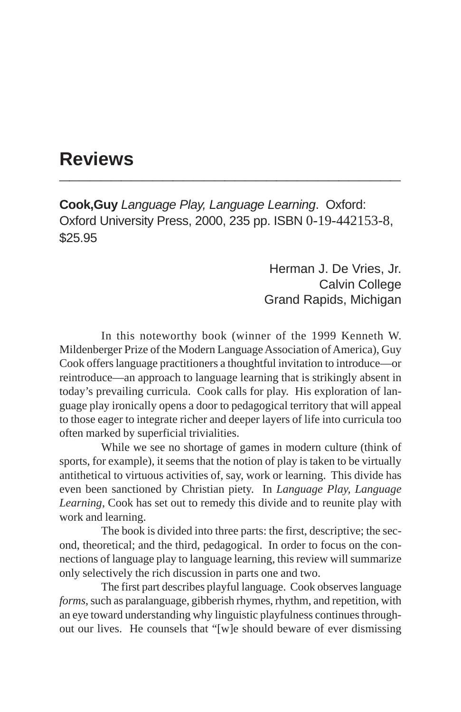## **Reviews \_\_\_\_\_\_\_\_\_\_\_\_\_\_\_\_\_\_\_\_\_\_\_\_\_\_\_\_\_\_\_\_\_**

**Cook,Guy** *Language Play, Language Learning*. Oxford: Oxford University Press, 2000, 235 pp. ISBN 0-19-442153-8, \$25.95

> Herman J. De Vries, Jr. Calvin College Grand Rapids, Michigan

In this noteworthy book (winner of the 1999 Kenneth W. Mildenberger Prize of the Modern Language Association of America), Guy Cook offers language practitioners a thoughtful invitation to introduce—or reintroduce—an approach to language learning that is strikingly absent in today's prevailing curricula. Cook calls for play. His exploration of language play ironically opens a door to pedagogical territory that will appeal to those eager to integrate richer and deeper layers of life into curricula too often marked by superficial trivialities.

While we see no shortage of games in modern culture (think of sports, for example), it seems that the notion of play is taken to be virtually antithetical to virtuous activities of, say, work or learning. This divide has even been sanctioned by Christian piety. In *Language Play, Language Learning*, Cook has set out to remedy this divide and to reunite play with work and learning.

The book is divided into three parts: the first, descriptive; the second, theoretical; and the third, pedagogical. In order to focus on the connections of language play to language learning, this review will summarize only selectively the rich discussion in parts one and two.

The first part describes playful language. Cook observes language *forms*, such as paralanguage, gibberish rhymes, rhythm, and repetition, with an eye toward understanding why linguistic playfulness continues throughout our lives. He counsels that "[w]e should beware of ever dismissing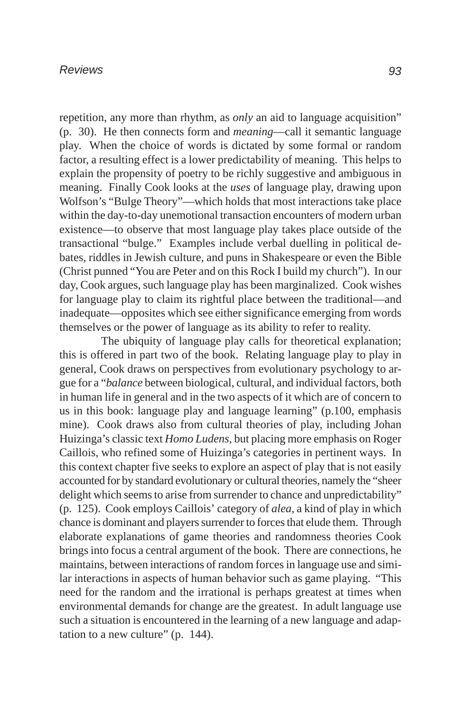repetition, any more than rhythm, as *only* an aid to language acquisition" (p. 30). He then connects form and *meaning*—call it semantic language play. When the choice of words is dictated by some formal or random factor, a resulting effect is a lower predictability of meaning. This helps to explain the propensity of poetry to be richly suggestive and ambiguous in meaning. Finally Cook looks at the *uses* of language play, drawing upon Wolfson's "Bulge Theory"—which holds that most interactions take place within the day-to-day unemotional transaction encounters of modern urban existence—to observe that most language play takes place outside of the transactional "bulge." Examples include verbal duelling in political debates, riddles in Jewish culture, and puns in Shakespeare or even the Bible (Christ punned "You are Peter and on this Rock I build my church"). In our day, Cook argues, such language play has been marginalized. Cook wishes for language play to claim its rightful place between the traditional—and inadequate—opposites which see either significance emerging from words themselves or the power of language as its ability to refer to reality.

The ubiquity of language play calls for theoretical explanation; this is offered in part two of the book. Relating language play to play in general, Cook draws on perspectives from evolutionary psychology to argue for a "*balance* between biological, cultural, and individual factors, both in human life in general and in the two aspects of it which are of concern to us in this book: language play and language learning" (p.100, emphasis mine). Cook draws also from cultural theories of play, including Johan Huizinga's classic text *Homo Ludens*, but placing more emphasis on Roger Caillois, who refined some of Huizinga's categories in pertinent ways. In this context chapter five seeks to explore an aspect of play that is not easily accounted for by standard evolutionary or cultural theories, namely the "sheer delight which seems to arise from surrender to chance and unpredictability" (p. 125). Cook employs Caillois' category of *alea,* a kind of play in which chance is dominant and players surrender to forces that elude them. Through elaborate explanations of game theories and randomness theories Cook brings into focus a central argument of the book. There are connections, he maintains, between interactions of random forces in language use and similar interactions in aspects of human behavior such as game playing. "This need for the random and the irrational is perhaps greatest at times when environmental demands for change are the greatest. In adult language use such a situation is encountered in the learning of a new language and adaptation to a new culture" (p. 144).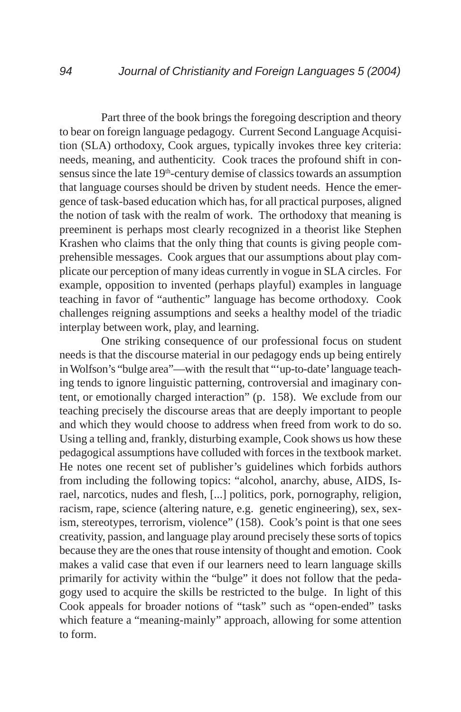Part three of the book brings the foregoing description and theory to bear on foreign language pedagogy. Current Second Language Acquisition (SLA) orthodoxy, Cook argues, typically invokes three key criteria: needs, meaning, and authenticity. Cook traces the profound shift in consensus since the late 19<sup>th</sup>-century demise of classics towards an assumption that language courses should be driven by student needs. Hence the emergence of task-based education which has, for all practical purposes, aligned the notion of task with the realm of work. The orthodoxy that meaning is preeminent is perhaps most clearly recognized in a theorist like Stephen Krashen who claims that the only thing that counts is giving people comprehensible messages. Cook argues that our assumptions about play complicate our perception of many ideas currently in vogue in SLA circles. For example, opposition to invented (perhaps playful) examples in language teaching in favor of "authentic" language has become orthodoxy. Cook challenges reigning assumptions and seeks a healthy model of the triadic interplay between work, play, and learning.

One striking consequence of our professional focus on student needs is that the discourse material in our pedagogy ends up being entirely in Wolfson's "bulge area"—with the result that "'up-to-date' language teaching tends to ignore linguistic patterning, controversial and imaginary content, or emotionally charged interaction" (p. 158). We exclude from our teaching precisely the discourse areas that are deeply important to people and which they would choose to address when freed from work to do so. Using a telling and, frankly, disturbing example, Cook shows us how these pedagogical assumptions have colluded with forces in the textbook market. He notes one recent set of publisher's guidelines which forbids authors from including the following topics: "alcohol, anarchy, abuse, AIDS, Israel, narcotics, nudes and flesh, [...] politics, pork, pornography, religion, racism, rape, science (altering nature, e.g. genetic engineering), sex, sexism, stereotypes, terrorism, violence" (158). Cook's point is that one sees creativity, passion, and language play around precisely these sorts of topics because they are the ones that rouse intensity of thought and emotion. Cook makes a valid case that even if our learners need to learn language skills primarily for activity within the "bulge" it does not follow that the pedagogy used to acquire the skills be restricted to the bulge. In light of this Cook appeals for broader notions of "task" such as "open-ended" tasks which feature a "meaning-mainly" approach, allowing for some attention to form.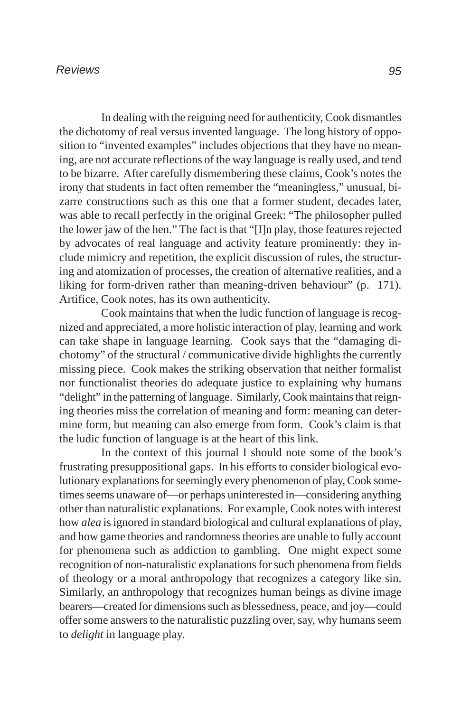## *Reviews*

In dealing with the reigning need for authenticity, Cook dismantles the dichotomy of real versus invented language. The long history of opposition to "invented examples" includes objections that they have no meaning, are not accurate reflections of the way language is really used, and tend to be bizarre. After carefully dismembering these claims, Cook's notes the irony that students in fact often remember the "meaningless," unusual, bizarre constructions such as this one that a former student, decades later, was able to recall perfectly in the original Greek: "The philosopher pulled the lower jaw of the hen." The fact is that "[I]n play, those features rejected by advocates of real language and activity feature prominently: they include mimicry and repetition, the explicit discussion of rules, the structuring and atomization of processes, the creation of alternative realities, and a liking for form-driven rather than meaning-driven behaviour" (p. 171). Artifice, Cook notes, has its own authenticity.

Cook maintains that when the ludic function of language is recognized and appreciated, a more holistic interaction of play, learning and work can take shape in language learning. Cook says that the "damaging dichotomy" of the structural / communicative divide highlights the currently missing piece. Cook makes the striking observation that neither formalist nor functionalist theories do adequate justice to explaining why humans "delight" in the patterning of language. Similarly, Cook maintains that reigning theories miss the correlation of meaning and form: meaning can determine form, but meaning can also emerge from form. Cook's claim is that the ludic function of language is at the heart of this link.

In the context of this journal I should note some of the book's frustrating presuppositional gaps. In his efforts to consider biological evolutionary explanations for seemingly every phenomenon of play, Cook sometimes seems unaware of—or perhaps uninterested in—considering anything other than naturalistic explanations. For example, Cook notes with interest how *alea* is ignored in standard biological and cultural explanations of play, and how game theories and randomness theories are unable to fully account for phenomena such as addiction to gambling. One might expect some recognition of non-naturalistic explanations for such phenomena from fields of theology or a moral anthropology that recognizes a category like sin. Similarly, an anthropology that recognizes human beings as divine image bearers—created for dimensions such as blessedness, peace, and joy—could offer some answers to the naturalistic puzzling over, say, why humans seem to *delight* in language play.